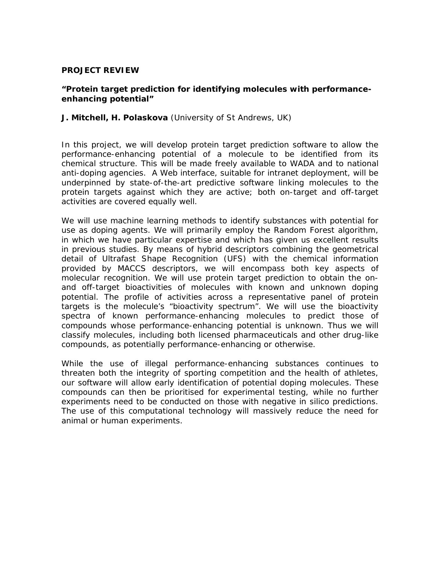# **PROJECT REVIEW**

## **"Protein target prediction for identifying molecules with performanceenhancing potential"**

## **J. Mitchell, H. Polaskova** (University of St Andrews, UK)

In this project, we will develop protein target prediction software to allow the performance-enhancing potential of a molecule to be identified from its chemical structure. This will be made freely available to WADA and to national anti-doping agencies. A Web interface, suitable for intranet deployment, will be underpinned by state-of-the-art predictive software linking molecules to the protein targets against which they are active; both on-target and off-target activities are covered equally well.

We will use machine learning methods to identify substances with potential for use as doping agents. We will primarily employ the Random Forest algorithm, in which we have particular expertise and which has given us excellent results in previous studies. By means of hybrid descriptors combining the geometrical detail of Ultrafast Shape Recognition (UFS) with the chemical information provided by MACCS descriptors, we will encompass both key aspects of molecular recognition. We will use protein target prediction to obtain the onand off-target bioactivities of molecules with known and unknown doping potential. The profile of activities across a representative panel of protein targets is the molecule's "bioactivity spectrum". We will use the bioactivity spectra of known performance-enhancing molecules to predict those of compounds whose performance-enhancing potential is unknown. Thus we will classify molecules, including both licensed pharmaceuticals and other drug-like compounds, as potentially performance-enhancing or otherwise.

While the use of illegal performance-enhancing substances continues to threaten both the integrity of sporting competition and the health of athletes, our software will allow early identification of potential doping molecules. These compounds can then be prioritised for experimental testing, while no further experiments need to be conducted on those with negative in silico predictions. The use of this computational technology will massively reduce the need for animal or human experiments.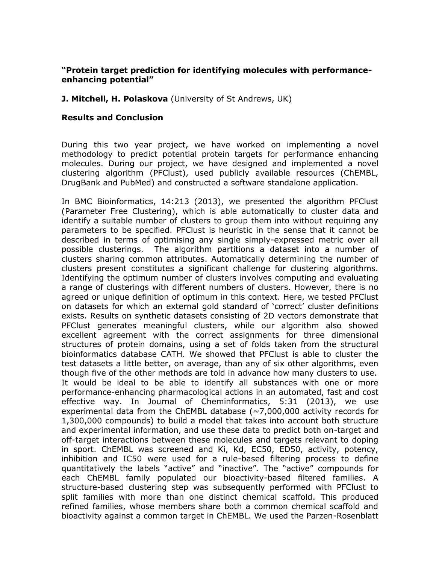# **"Protein target prediction for identifying molecules with performanceenhancing potential"**

# **J. Mitchell, H. Polaskova** (University of St Andrews, UK)

## **Results and Conclusion**

During this two year project, we have worked on implementing a novel methodology to predict potential protein targets for performance enhancing molecules. During our project, we have designed and implemented a novel clustering algorithm (PFClust), used publicly available resources (ChEMBL, DrugBank and PubMed) and constructed a software standalone application.

In BMC Bioinformatics, 14:213 (2013), we presented the algorithm PFClust (Parameter Free Clustering), which is able automatically to cluster data and identify a suitable number of clusters to group them into without requiring any parameters to be specified. PFClust is heuristic in the sense that it cannot be described in terms of optimising any single simply-expressed metric over all possible clusterings. The algorithm partitions a dataset into a number of clusters sharing common attributes. Automatically determining the number of clusters present constitutes a significant challenge for clustering algorithms. Identifying the optimum number of clusters involves computing and evaluating a range of clusterings with different numbers of clusters. However, there is no agreed or unique definition of optimum in this context. Here, we tested PFClust on datasets for which an external gold standard of 'correct' cluster definitions exists. Results on synthetic datasets consisting of 2D vectors demonstrate that PFClust generates meaningful clusters, while our algorithm also showed excellent agreement with the correct assignments for three dimensional structures of protein domains, using a set of folds taken from the structural bioinformatics database CATH. We showed that PFClust is able to cluster the test datasets a little better, on average, than any of six other algorithms, even though five of the other methods are told in advance how many clusters to use. It would be ideal to be able to identify all substances with one or more performance-enhancing pharmacological actions in an automated, fast and cost effective way. In Journal of Cheminformatics, 5:31 (2013), we use experimental data from the ChEMBL database  $(\sim 7,000,000$  activity records for 1,300,000 compounds) to build a model that takes into account both structure and experimental information, and use these data to predict both on-target and off-target interactions between these molecules and targets relevant to doping in sport. ChEMBL was screened and Ki, Kd, EC50, ED50, activity, potency, inhibition and IC50 were used for a rule-based filtering process to define quantitatively the labels "active" and "inactive". The "active" compounds for each ChEMBL family populated our bioactivity-based filtered families. A structure-based clustering step was subsequently performed with PFClust to split families with more than one distinct chemical scaffold. This produced refined families, whose members share both a common chemical scaffold and bioactivity against a common target in ChEMBL. We used the Parzen-Rosenblatt